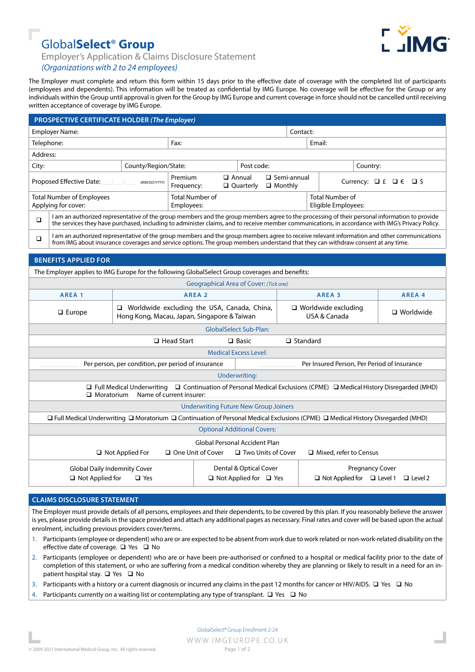# **IMG**

## Global**Select**® **Group**

Employer's Application & Claims Disclosure Statement *(Organizations with 2 to 24 employees)*

The Employer must complete and return this form within 15 days prior to the effective date of coverage with the completed list of participants (employees and dependents). This information will be treated as confidential by IMG Europe. No coverage will be effective for the Group or any individuals within the Group until approval is given for the Group by IMG Europe and current coverage in force should not be cancelled until receiving written acceptance of coverage by IMG Europe.

| <b>PROSPECTIVE CERTIFICATE HOLDER (The Employer)</b>                                                                                                                                                                                                                                                        |                                                                                              |                                      |                                                                                                                                |  |                                                           |                                           |  |
|-------------------------------------------------------------------------------------------------------------------------------------------------------------------------------------------------------------------------------------------------------------------------------------------------------------|----------------------------------------------------------------------------------------------|--------------------------------------|--------------------------------------------------------------------------------------------------------------------------------|--|-----------------------------------------------------------|-------------------------------------------|--|
| Employer Name:                                                                                                                                                                                                                                                                                              |                                                                                              |                                      | Contact:                                                                                                                       |  |                                                           |                                           |  |
| Telephone:                                                                                                                                                                                                                                                                                                  |                                                                                              | Fax:                                 |                                                                                                                                |  | Email:                                                    |                                           |  |
| Address:                                                                                                                                                                                                                                                                                                    |                                                                                              |                                      |                                                                                                                                |  |                                                           |                                           |  |
| County/Region/State:<br>City:                                                                                                                                                                                                                                                                               |                                                                                              |                                      | Post code:                                                                                                                     |  | Country:                                                  |                                           |  |
| Proposed Effective Date:<br>(MM/DD/YYYY)                                                                                                                                                                                                                                                                    |                                                                                              | Premium<br>Frequency:                | $\Box$ Annual<br>$\square$ Semi-annual<br>$\Box$ Quarterly<br>$\Box$ Monthly                                                   |  |                                                           | Currency: $\Box$ $f$ $\Box$ $f$ $\Box$ \$ |  |
| <b>Total Number of Employees</b><br>Applying for cover:                                                                                                                                                                                                                                                     |                                                                                              | <b>Total Number of</b><br>Employees: |                                                                                                                                |  | <b>Total Number of</b><br>Eligible Employees:             |                                           |  |
| I am an authorized representative of the group members and the group members agree to the processing of their personal information to provide<br>$\Box$<br>the services they have purchased, including to administer claims, and to receive member communications, in accordance with IMG's Privacy Policy. |                                                                                              |                                      |                                                                                                                                |  |                                                           |                                           |  |
| I am an authorized representative of the group members and the group members agree to receive relevant information and other communications<br>$\Box$<br>from IMG about insurance coverages and service options. The group members understand that they can withdraw consent at any time.                   |                                                                                              |                                      |                                                                                                                                |  |                                                           |                                           |  |
| <b>BENEFITS APPLIED FOR</b>                                                                                                                                                                                                                                                                                 |                                                                                              |                                      |                                                                                                                                |  |                                                           |                                           |  |
| The Employer applies to IMG Europe for the following GlobalSelect Group coverages and benefits:                                                                                                                                                                                                             |                                                                                              |                                      |                                                                                                                                |  |                                                           |                                           |  |
|                                                                                                                                                                                                                                                                                                             |                                                                                              |                                      | <b>Geographical Area of Cover: (Tick one)</b>                                                                                  |  |                                                           |                                           |  |
| AREA <sub>1</sub>                                                                                                                                                                                                                                                                                           |                                                                                              | AREA <sub>2</sub>                    |                                                                                                                                |  | AREA 3                                                    | AREA 4                                    |  |
| $\Box$ Europe                                                                                                                                                                                                                                                                                               | □ Worldwide excluding the USA, Canada, China,<br>Hong Kong, Macau, Japan, Singapore & Taiwan |                                      |                                                                                                                                |  | □ Worldwide excluding<br>$\Box$ Worldwide<br>USA & Canada |                                           |  |
| <b>GlobalSelect Sub-Plan:</b>                                                                                                                                                                                                                                                                               |                                                                                              |                                      |                                                                                                                                |  |                                                           |                                           |  |
| $\Box$ Head Start                                                                                                                                                                                                                                                                                           |                                                                                              |                                      | $\Box$ Standard<br>$\Box$ Basic                                                                                                |  |                                                           |                                           |  |
| <b>Medical Excess Level:</b>                                                                                                                                                                                                                                                                                |                                                                                              |                                      |                                                                                                                                |  |                                                           |                                           |  |
| Per person, per condition, per period of insurance<br>Per Insured Person, Per Period of Insurance                                                                                                                                                                                                           |                                                                                              |                                      |                                                                                                                                |  |                                                           |                                           |  |
| <b>Underwriting:</b>                                                                                                                                                                                                                                                                                        |                                                                                              |                                      |                                                                                                                                |  |                                                           |                                           |  |
| $\Box$ Full Medical Underwriting $\Box$ Continuation of Personal Medical Exclusions (CPME) $\Box$ Medical History Disregarded (MHD)<br>Name of current insurer:<br>$\Box$ Moratorium                                                                                                                        |                                                                                              |                                      |                                                                                                                                |  |                                                           |                                           |  |
| <b>Underwriting Future New Group Joiners</b>                                                                                                                                                                                                                                                                |                                                                                              |                                      |                                                                                                                                |  |                                                           |                                           |  |
| □ Full Medical Underwriting □ Moratorium □ Continuation of Personal Medical Exclusions (CPME) □ Medical History Disregarded (MHD)                                                                                                                                                                           |                                                                                              |                                      |                                                                                                                                |  |                                                           |                                           |  |
| <b>Optional Additional Covers:</b>                                                                                                                                                                                                                                                                          |                                                                                              |                                      |                                                                                                                                |  |                                                           |                                           |  |
| <b>Global Personal Accident Plan</b><br>$\Box$ Not Applied For<br>□ One Unit of Cover<br>$\Box$ Two Units of Cover<br>$\Box$ Mixed, refer to Census                                                                                                                                                         |                                                                                              |                                      |                                                                                                                                |  |                                                           |                                           |  |
| <b>Global Daily Indemnity Cover</b><br>$\Box$ Not Applied for<br>$\Box$ Yes                                                                                                                                                                                                                                 |                                                                                              |                                      | Dental & Optical Cover<br><b>Pregnancy Cover</b><br>$\Box$ Not Applied for $\Box$ Yes<br>$\Box$ Not Applied for $\Box$ Level 1 |  |                                                           | $\Box$ Level 2                            |  |

#### **CLAIMS DISCLOSURE STATEMENT**

The Employer must provide details of all persons, employees and their dependents, to be covered by this plan. If you reasonably believe the answer is yes, please provide details in the space provided and attach any additional pages as necessary. Final rates and cover will be based upon the actual enrolment, including previous providers cover/terms.

- 1. Participants (employee or dependent) who are or are expected to be absent from work due to work related or non-work-related disability on the effective date of coverage.  $\Box$  Yes  $\Box$  No
- 2. Participants (employee or dependent) who are or have been pre-authorised or confined to a hospital or medical facility prior to the date of completion of this statement, or who are suffering from a medical condition whereby they are planning or likely to result in a need for an inpatient hospital stay.  $\Box$  Yes  $\Box$  No
- 3. Participants with a history or a current diagnosis or incurred any claims in the past 12 months for cancer or HIV/AIDS.  $\Box$  Yes  $\Box$  No
- 4. Participants currently on a waiting list or contemplating any type of transplant.  $\Box$  Yes  $\Box$  No